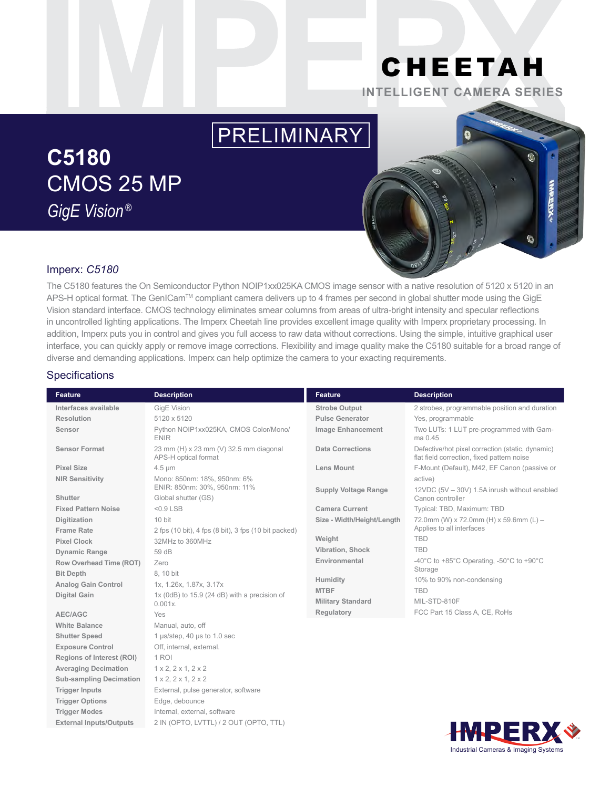## CHEETAH **INTELLIGENT CAMERA SERIES**

# PRELIMINARY

## **C5180** CMOS 25 MP *GigE Vision ®*



### Imperx: *C5180*

The C5180 features the On Semiconductor Python NOIP1xx025KA CMOS image sensor with a native resolution of 5120 x 5120 in an APS-H optical format. The GenICam™ compliant camera delivers up to 4 frames per second in global shutter mode using the GigE Vision standard interface. CMOS technology eliminates smear columns from areas of ultra-bright intensity and specular reflections in uncontrolled lighting applications. The Imperx Cheetah line provides excellent image quality with Imperx proprietary processing. In addition, Imperx puts you in control and gives you full access to raw data without corrections. Using the simple, intuitive graphical user interface, you can quickly apply or remove image corrections. Flexibility and image quality make the C5180 suitable for a broad range of diverse and demanding applications. Imperx can help optimize the camera to your exacting requirements.

#### **Specifications**

| Feature                          | <b>Description</b>                                             | <b>Feature</b>              | <b>Description</b>                                                                             |
|----------------------------------|----------------------------------------------------------------|-----------------------------|------------------------------------------------------------------------------------------------|
| Interfaces available             | GigE Vision                                                    | <b>Strobe Output</b>        | 2 strobes, programmable position and duration                                                  |
| Resolution                       | 5120 x 5120                                                    | <b>Pulse Generator</b>      | Yes, programmable                                                                              |
| Sensor                           | Python NOIP1xx025KA, CMOS Color/Mono/<br><b>ENIR</b>           | <b>Image Enhancement</b>    | Two LUTs: 1 LUT pre-programmed with Gam-<br>ma 0.45                                            |
| <b>Sensor Format</b>             | 23 mm (H) x 23 mm (V) 32.5 mm diagonal<br>APS-H optical format | <b>Data Corrections</b>     | Defective/hot pixel correction (static, dynamic)<br>flat field correction, fixed pattern noise |
| <b>Pixel Size</b>                | $4.5 \mu m$                                                    | <b>Lens Mount</b>           | F-Mount (Default), M42, EF Canon (passive or                                                   |
| <b>NIR Sensitivity</b>           | Mono: 850nm: 18%, 950nm: 6%                                    |                             | active)                                                                                        |
| Shutter                          | ENIR: 850nm: 30%, 950nm: 11%<br>Global shutter (GS)            | <b>Supply Voltage Range</b> | 12VDC (5V - 30V) 1.5A inrush without enabled<br>Canon controller                               |
| <b>Fixed Pattern Noise</b>       | $<$ 0.9 LSB                                                    | <b>Camera Current</b>       | Typical: TBD, Maximum: TBD                                                                     |
| Digitization                     | 10 bit                                                         | Size - Width/Height/Length  | 72.0mm (W) x 72.0mm (H) x 59.6mm (L) -                                                         |
| <b>Frame Rate</b>                | 2 fps (10 bit), 4 fps (8 bit), 3 fps (10 bit packed)           |                             | Applies to all interfaces                                                                      |
| <b>Pixel Clock</b>               | 32MHz to 360MHz                                                | Weight                      | <b>TBD</b>                                                                                     |
| <b>Dynamic Range</b>             | 59 dB                                                          | <b>Vibration, Shock</b>     | <b>TBD</b>                                                                                     |
| Row Overhead Time (ROT)          | Zero                                                           | Environmental               | -40°C to +85°C Operating, -50°C to +90°C                                                       |
| <b>Bit Depth</b>                 | 8.10 bit                                                       |                             | Storage                                                                                        |
| <b>Analog Gain Control</b>       | 1x, 1.26x, 1.87x, 3.17x                                        | Humidity                    | 10% to 90% non-condensing                                                                      |
| <b>Digital Gain</b>              | $1x$ (0dB) to $15.9$ (24 dB) with a precision of               | <b>MTBF</b>                 | <b>TBD</b>                                                                                     |
|                                  | $0.001x$ .                                                     | <b>Military Standard</b>    | MIL-STD-810F                                                                                   |
| AEC/AGC                          | Yes                                                            | Regulatory                  | FCC Part 15 Class A, CE, RoHs                                                                  |
| <b>White Balance</b>             | Manual, auto, off                                              |                             |                                                                                                |
| <b>Shutter Speed</b>             | 1 µs/step, 40 µs to 1.0 sec                                    |                             |                                                                                                |
| <b>Exposure Control</b>          | Off, internal, external.                                       |                             |                                                                                                |
| <b>Regions of Interest (ROI)</b> | 1 ROI                                                          |                             |                                                                                                |
| <b>Averaging Decimation</b>      | 1 x 2, 2 x 1, 2 x 2                                            |                             |                                                                                                |
| <b>Sub-sampling Decimation</b>   | 1 x 2, 2 x 1, 2 x 2                                            |                             |                                                                                                |
| <b>Trigger Inputs</b>            | External, pulse generator, software                            |                             |                                                                                                |
| <b>Trigger Options</b>           | Edge, debounce                                                 |                             |                                                                                                |
| <b>Trigger Modes</b>             | Internal, external, software                                   |                             |                                                                                                |
| <b>External Inputs/Outputs</b>   | 2 IN (OPTO, LVTTL) / 2 OUT (OPTO, TTL)                         |                             |                                                                                                |